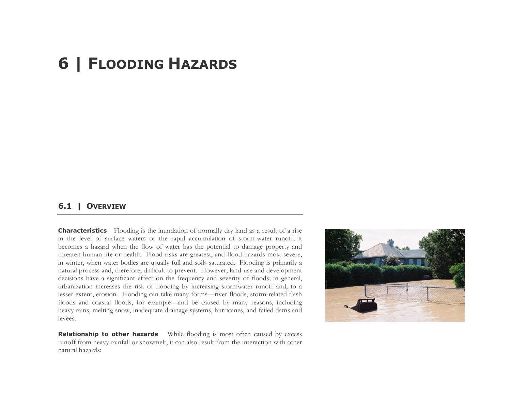# **6 | FLOODING HAZARDS**

## **6.1 | OVERVIEW**

**Characteristics** Flooding is the inundation of normally dry land as a result of a rise in the level of surface waters or the rapid accumulation of storm-water runoff; it becomes a hazard when the flow of water has the potential to damage property and threaten human life or health. Flood risks are greatest, and flood hazards most severe, in winter, when water bodies are usually full and soils saturated. Flooding is primarily a natural process and, therefore, difficult to prevent. However, land-use and development decisions have a significant effect on the frequency and severity of floods; in general, urbanization increases the risk of flooding by increasing stormwater runoff and, to a lesser extent, erosion. Flooding can take many forms—river floods, storm-related flash floods and coastal floods, for example—and be caused by many reasons, including heavy rains, melting snow, inadequate drainage systems, hurricanes, and failed dams and levees.

**Relationship to other hazards** While flooding is most often caused by excess runoff from heavy rainfall or snowmelt, it can also result from the interaction with other natural hazards:

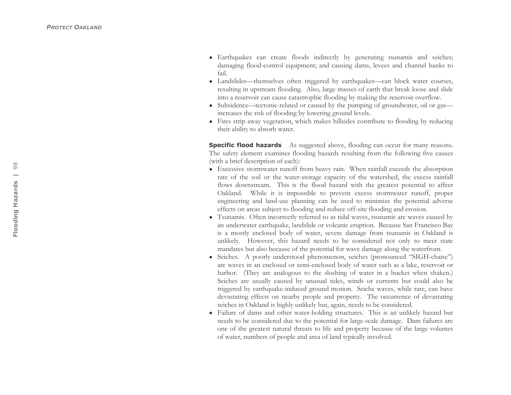- Earthquakes can create floods indirectly by generating tsunamis and seiches; damaging flood-control equipment; and causing dams, levees and channel banks to fail.
- Landslides—themselves often triggered by earthquakes—can block water courses, resulting in upstream flooding. Also, large masses of earth that break loose and slide into a reservoir can cause catastrophic flooding by making the reservoir overflow.
- Subsidence—tectonic-related or caused by the pumping of groundwater, oil or gas increases the risk of flooding by lowering ground levels.
- Fires strip away vegetation, which makes hillsides contribute to flooding by reducing their ability to absorb water.

**Specific flood hazards** As suggested above, flooding can occur for many reasons. The safety element examines flooding hazards resulting from the following five causes (with a brief description of each):

- Excessive stormwater runoff from heavy rain. When rainfall exceeds the absorption rate of the soil or the water-storage capacity of the watershed, the excess rainfall flows downstream. This is the flood hazard with the greatest potential to affect Oakland. While it is impossible to prevent excess stormwater runoff, proper engineering and land-use planning can be used to minimize the potential adverse effects on areas subject to flooding and reduce off-site flooding and erosion.
- Tsunamis. Often incorrectly referred to as tidal waves, tsunamis are waves caused by an underwater earthquake, landslide or volcanic eruption. Because San Francisco Bay is a mostly enclosed body of water, severe damage from tsunamis in Oakland is unlikely. However, this hazard needs to be considered not only to meet state mandates but also because of the potential for wave damage along the waterfront.
- Seiches. A poorly understood phenomenon, seiches (pronounced "SIGH-chaise") are waves in an enclosed or semi-enclosed body of water such as a lake, reservoir or harbor. (They are analogous to the sloshing of water in a bucket when shaken.) Seiches are usually caused by unusual tides, winds or currents but could also be triggered by earthquake-induced ground motion. Seiche waves, while rare, can have devastating effects on nearby people and property. The occurrence of devastating seiches in Oakland is highly unlikely but, again, needs to be considered.
- Failure of dams and other water-holding structures. This is an unlikely hazard but needs to be considered due to the potential for large-scale damage. Dam failures are one of the greatest natural threats to life and property because of the large volumes of water, numbers of people and area of land typically involved.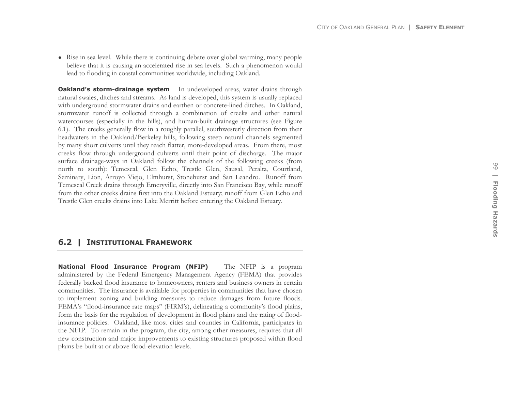• Rise in sea level. While there is continuing debate over global warming, many people believe that it is causing an accelerated rise in sea levels. Such a phenomenon would lead to flooding in coastal communities worldwide, including Oakland.

**Oakland's storm-drainage system** In undeveloped areas, water drains through natural swales, ditches and streams. As land is developed, this system is usually replaced with underground stormwater drains and earthen or concrete-lined ditches. In Oakland, stormwater runoff is collected through a combination of creeks and other natural watercourses (especially in the hills), and human-built drainage structures (see Figure 6.1). The creeks generally flow in a roughly parallel, southwesterly direction from their headwaters in the Oakland/Berkeley hills, following steep natural channels segmented by many short culverts until they reach flatter, more-developed areas. From there, most creeks flow through underground culverts until their point of discharge. The major surface drainage-ways in Oakland follow the channels of the following creeks (from north to south): Temescal, Glen Echo, Trestle Glen, Sausal, Peralta, Courtland, Seminary, Lion, Arroyo Viejo, Elmhurst, Stonehurst and San Leandro. Runoff from Temescal Creek drains through Emeryville, directly into San Francisco Bay, while runoff from the other creeks drains first into the Oakland Estuary; runoff from Glen Echo and Trestle Glen creeks drains into Lake Merritt before entering the Oakland Estuary.

# **6.2 | INSTITUTIONAL FRAMEWORK**

**National Flood Insurance Program (NFIP)** The NFIP is a program administered by the Federal Emergency Management Agency (FEMA) that provides federally backed flood insurance to homeowners, renters and business owners in certain communities. The insurance is available for properties in communities that have chosen to implement zoning and building measures to reduce damages from future floods. FEMA's "flood-insurance rate maps" (FIRM's), delineating a community's flood plains, form the basis for the regulation of development in flood plains and the rating of floodinsurance policies. Oakland, like most cities and counties in California, participates in the NFIP. To remain in the program, the city, among other measures, requires that all new construction and major improvements to existing structures proposed within flood plains be built at or above flood-elevation levels.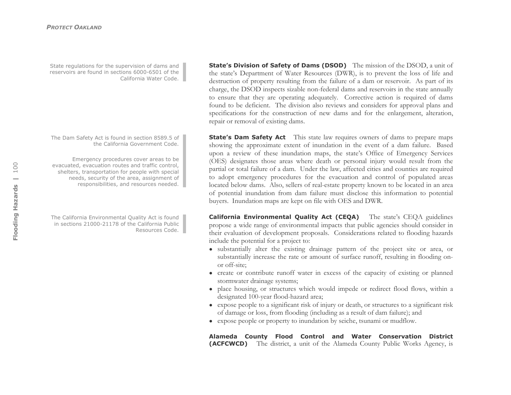State regulations for the supervision of dams and reservoirs are found in sections 6000-6501 of the California Water Code.

The Dam Safety Act is found in section 8589.5 of the California Government Code.

Emergency procedures cover areas to be evacuated, evacuation routes and traffic control, shelters, transportation for people with special needs, security of the area, assignment of responsibilities, and resources needed.

The California Environmental Quality Act is found in sections 21000-21178 of the California Public Resources Code.

**State's Division of Safety of Dams (DSOD)** The mission of the DSOD, a unit of the state's Department of Water Resources (DWR), is to prevent the loss of life and destruction of property resulting from the failure of a dam or reservoir. As part of its charge, the DSOD inspects sizable non-federal dams and reservoirs in the state annually to ensure that they are operating adequately. Corrective action is required of dams found to be deficient. The division also reviews and considers for approval plans and specifications for the construction of new dams and for the enlargement, alteration, repair or removal of existing dams.

**State's Dam Safety Act** This state law requires owners of dams to prepare maps showing the approximate extent of inundation in the event of a dam failure. Based upon a review of these inundation maps, the state's Office of Emergency Services (OES) designates those areas where death or personal injury would result from the partial or total failure of a dam. Under the law, affected cities and counties are required to adopt emergency procedures for the evacuation and control of populated areas located below dams. Also, sellers of real-estate property known to be located in an area of potential inundation from dam failure must disclose this information to potential buyers. Inundation maps are kept on file with OES and DWR.

**California Environmental Quality Act (CEQA)** The state's CEQA guidelines propose a wide range of environmental impacts that public agencies should consider in their evaluation of development proposals. Considerations related to flooding hazards include the potential for a project to:

- substantially alter the existing drainage pattern of the project site or area, or substantially increase the rate or amount of surface runoff, resulting in flooding onor off-site;
- create or contribute runoff water in excess of the capacity of existing or planned stormwater drainage systems;
- place housing, or structures which would impede or redirect flood flows, within a designated 100-year flood-hazard area;
- expose people to a significant risk of injury or death, or structures to a significant risk of damage or loss, from flooding (including as a result of dam failure); and
- expose people or property to inundation by seiche, tsunami or mudflow.

**Alameda County Flood Control and Water Conservation District (ACFCWCD)** The district, a unit of the Alameda County Public Works Agency, is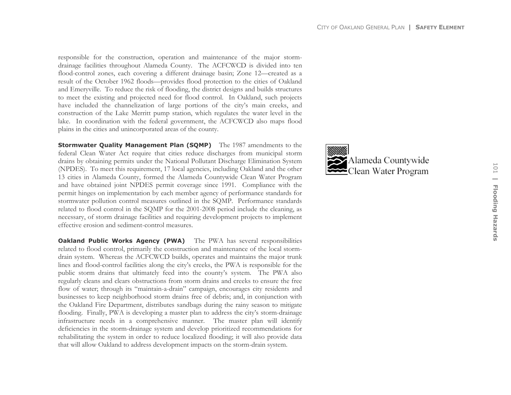responsible for the construction, operation and maintenance of the major stormdrainage facilities throughout Alameda County. The ACFCWCD is divided into ten flood-control zones, each covering a different drainage basin; Zone 12—created as a result of the October 1962 floods—provides flood protection to the cities of Oakland and Emeryville. To reduce the risk of flooding, the district designs and builds structures to meet the existing and projected need for flood control. In Oakland, such projects have included the channelization of large portions of the city's main creeks, and construction of the Lake Merritt pump station, which regulates the water level in the lake. In coordination with the federal government, the ACFCWCD also maps flood plains in the cities and unincorporated areas of the county.

**Stormwater Quality Management Plan (SQMP)** The 1987 amendments to the federal Clean Water Act require that cities reduce discharges from municipal storm drains by obtaining permits under the National Pollutant Discharge Elimination System (NPDES). To meet this requirement, 17 local agencies, including Oakland and the other 13 cities in Alameda County, formed the Alameda Countywide Clean Water Program and have obtained joint NPDES permit coverage since 1991. Compliance with the permit hinges on implementation by each member agency of performance standards for stormwater pollution control measures outlined in the SQMP. Performance standards related to flood control in the SQMP for the 2001-2008 period include the cleaning, as necessary, of storm drainage facilities and requiring development projects to implement effective erosion and sediment-control measures.

**Oakland Public Works Agency (PWA)** The PWA has several responsibilities related to flood control, primarily the construction and maintenance of the local stormdrain system. Whereas the ACFCWCD builds, operates and maintains the major trunk lines and flood-control facilities along the city's creeks, the PWA is responsible for the public storm drains that ultimately feed into the county's system. The PWA also regularly cleans and clears obstructions from storm drains and creeks to ensure the free flow of water; through its "maintain-a-drain" campaign, encourages city residents and businesses to keep neighborhood storm drains free of debris; and, in conjunction with the Oakland Fire Department, distributes sandbags during the rainy season to mitigate flooding. Finally, PWA is developing a master plan to address the city's storm-drainage infrastructure needs in a comprehensive manner. The master plan will identify deficiencies in the storm-drainage system and develop prioritized recommendations for rehabilitating the system in order to reduce localized flooding; it will also provide data that will allow Oakland to address development impacts on the storm-drain system.

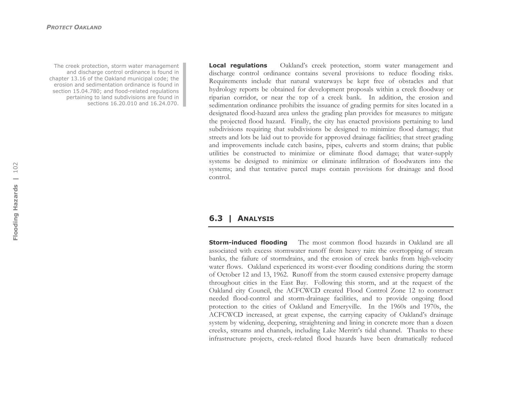The creek protection, storm water management and discharge control ordinance is found in chapter 13.16 of the Oakland municipal code; the erosion and sedimentation ordinance is found in section 15.04.780; and flood-related regulations pertaining to land subdivisions are found in sections 16.20.010 and 16.24.070.

**Local regulations** Oakland's creek protection, storm water management and discharge control ordinance contains several provisions to reduce flooding risks. Requirements include that natural waterways be kept free of obstacles and that hydrology reports be obtained for development proposals within a creek floodway or riparian corridor, or near the top of a creek bank. In addition, the erosion and sedimentation ordinance prohibits the issuance of grading permits for sites located in a designated flood-hazard area unless the grading plan provides for measures to mitigate the projected flood hazard. Finally, the city has enacted provisions pertaining to land subdivisions requiring that subdivisions be designed to minimize flood damage; that streets and lots be laid out to provide for approved drainage facilities; that street grading and improvements include catch basins, pipes, culverts and storm drains; that public utilities be constructed to minimize or eliminate flood damage; that water-supply systems be designed to minimize or eliminate infiltration of floodwaters into the systems; and that tentative parcel maps contain provisions for drainage and flood control.

### **6.3 | ANALYSIS**

**Storm-induced flooding** The most common flood hazards in Oakland are all associated with excess stormwater runoff from heavy rain: the overtopping of stream banks, the failure of stormdrains, and the erosion of creek banks from high-velocity water flows. Oakland experienced its worst-ever flooding conditions during the storm of October 12 and 13, 1962. Runoff from the storm caused extensive property damage throughout cities in the East Bay. Following this storm, and at the request of the Oakland city Council, the ACFCWCD created Flood Control Zone 12 to construct needed flood-control and storm-drainage facilities, and to provide ongoing flood protection to the cities of Oakland and Emeryville. In the 1960s and 1970s, the ACFCWCD increased, at great expense, the carrying capacity of Oakland's drainage system by widening, deepening, straightening and lining in concrete more than a dozen creeks, streams and channels, including Lake Merritt's tidal channel. Thanks to these infrastructure projects, creek-related flood hazards have been dramatically reduced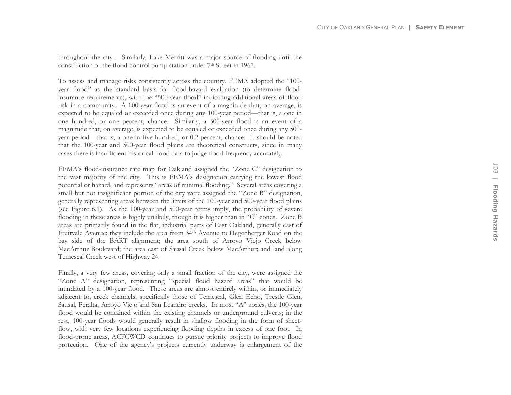throughout the city . Similarly, Lake Merritt was a major source of flooding until the construction of the flood-control pump station under  $7<sup>th</sup>$  Street in 1967.

To assess and manage risks consistently across the country, FEMA adopted the "100 year flood" as the standard basis for flood-hazard evaluation (to determine floodinsurance requirements), with the "500-year flood" indicating additional areas of flood risk in a community. A 100-year flood is an event of a magnitude that, on average, is expected to be equaled or exceeded once during any 100-year period—that is, a one in one hundred, or one percent, chance. Similarly, a 500-year flood is an event of a magnitude that, on average, is expected to be equaled or exceeded once during any 500 year period—that is, a one in five hundred, or 0.2 percent, chance. It should be noted that the 100-year and 500-year flood plains are theoretical constructs, since in many cases there is insufficient historical flood data to judge flood frequency accurately.

FEMA's flood-insurance rate map for Oakland assigned the "Zone C" designation to the vast majority of the city. This is FEMA's designation carrying the lowest flood potential or hazard, and represents "areas of minimal flooding." Several areas covering a small but not insignificant portion of the city were assigned the "Zone B" designation, generally representing areas between the limits of the 100-year and 500-year flood plains (see Figure 6.1). As the 100-year and 500-year terms imply, the probability of severe flooding in these areas is highly unlikely, though it is higher than in "C" zones. Zone B areas are primarily found in the flat, industrial parts of East Oakland, generally east of Fruitvale Avenue; they include the area from 34th Avenue to Hegenberger Road on the bay side of the BART alignment; the area south of Arroyo Viejo Creek below MacArthur Boulevard; the area east of Sausal Creek below MacArthur; and land along Temescal Creek west of Highway 24.

Finally, a very few areas, covering only a small fraction of the city, were assigned the "Zone A" designation, representing "special flood hazard areas" that would be inundated by a 100-year flood. These areas are almost entirely within, or immediately adjacent to, creek channels, specifically those of Temescal, Glen Echo, Trestle Glen, Sausal, Peralta, Arroyo Viejo and San Leandro creeks. In most "A" zones, the 100-year flood would be contained within the existing channels or underground culverts; in the rest, 100-year floods would generally result in shallow flooding in the form of sheetflow, with very few locations experiencing flooding depths in excess of one foot. In flood-prone areas, ACFCWCD continues to pursue priority projects to improve flood protection. One of the agency's projects currently underway is enlargement of the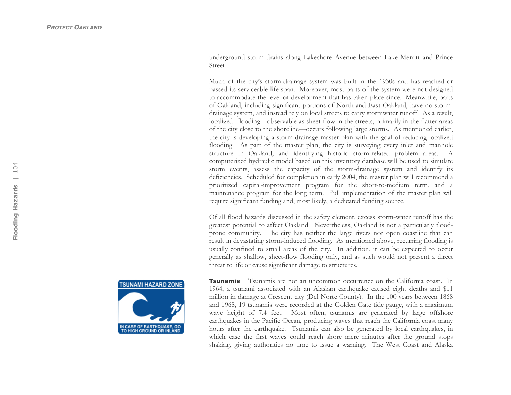underground storm drains along Lakeshore Avenue between Lake Merritt and Prince Street.

Much of the city's storm-drainage system was built in the 1930s and has reached or passed its serviceable life span. Moreover, most parts of the system were not designed to accommodate the level of development that has taken place since. Meanwhile, parts of Oakland, including significant portions of North and East Oakland, have no stormdrainage system, and instead rely on local streets to carry stormwater runoff. As a result, localized flooding—observable as sheet-flow in the streets, primarily in the flatter areas of the city close to the shoreline—occurs following large storms. As mentioned earlier, the city is developing a storm-drainage master plan with the goal of reducing localized flooding. As part of the master plan, the city is surveying every inlet and manhole structure in Oakland, and identifying historic storm-related problem areas. A computerized hydraulic model based on this inventory database will be used to simulate storm events, assess the capacity of the storm-drainage system and identify its deficiencies. Scheduled for completion in early 2004, the master plan will recommend a prioritized capital-improvement program for the short-to-medium term, and a maintenance program for the long term. Full implementation of the master plan will require significant funding and, most likely, a dedicated funding source.

Of all flood hazards discussed in the safety element, excess storm-water runoff has the greatest potential to affect Oakland. Nevertheless, Oakland is not a particularly floodprone community. The city has neither the large rivers nor open coastline that can result in devastating storm-induced flooding. As mentioned above, recurring flooding is usually confined to small areas of the city. In addition, it can be expected to occur generally as shallow, sheet-flow flooding only, and as such would not present a direct threat to life or cause significant damage to structures.



**Tsunamis** Tsunamis are not an uncommon occurrence on the California coast. In 1964, a tsunami associated with an Alaskan earthquake caused eight deaths and \$11 million in damage at Crescent city (Del Norte County). In the 100 years between 1868 and 1968, 19 tsunamis were recorded at the Golden Gate tide gauge, with a maximum wave height of 7.4 feet. Most often, tsunamis are generated by large offshore earthquakes in the Pacific Ocean, producing waves that reach the California coast many hours after the earthquake. Tsunamis can also be generated by local earthquakes, in which case the first waves could reach shore mere minutes after the ground stops shaking, giving authorities no time to issue a warning. The West Coast and Alaska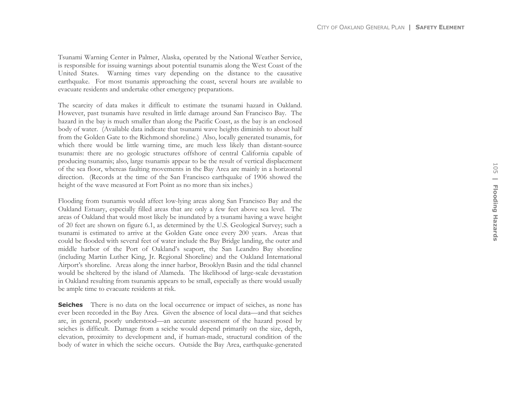Tsunami Warning Center in Palmer, Alaska, operated by the National Weather Service, is responsible for issuing warnings about potential tsunamis along the West Coast of the United States. Warning times vary depending on the distance to the causative earthquake. For most tsunamis approaching the coast, several hours are available to evacuate residents and undertake other emergency preparations.

The scarcity of data makes it difficult to estimate the tsunami hazard in Oakland. However, past tsunamis have resulted in little damage around San Francisco Bay. The hazard in the bay is much smaller than along the Pacific Coast, as the bay is an enclosed body of water. (Available data indicate that tsunami wave heights diminish to about half from the Golden Gate to the Richmond shoreline.) Also, locally generated tsunamis, for which there would be little warning time, are much less likely than distant-source tsunamis: there are no geologic structures offshore of central California capable of producing tsunamis; also, large tsunamis appear to be the result of vertical displacement of the sea floor, whereas faulting movements in the Bay Area are mainly in a horizontal direction. (Records at the time of the San Francisco earthquake of 1906 showed the height of the wave measured at Fort Point as no more than six inches.)

Flooding from tsunamis would affect low-lying areas along San Francisco Bay and the Oakland Estuary, especially filled areas that are only a few feet above sea level. The areas of Oakland that would most likely be inundated by a tsunami having a wave height of 20 feet are shown on figure 6.1, as determined by the U.S. Geological Survey; such a tsunami is estimated to arrive at the Golden Gate once every 200 years. Areas that could be flooded with several feet of water include the Bay Bridge landing, the outer and middle harbor of the Port of Oakland's seaport, the San Leandro Bay shoreline (including Martin Luther King, Jr. Regional Shoreline) and the Oakland International Airport's shoreline. Areas along the inner harbor, Brooklyn Basin and the tidal channel would be sheltered by the island of Alameda. The likelihood of large-scale devastation in Oakland resulting from tsunamis appears to be small, especially as there would usually be ample time to evacuate residents at risk.

**Seiches** There is no data on the local occurrence or impact of seiches, as none has ever been recorded in the Bay Area. Given the absence of local data—and that seiches are, in general, poorly understood—an accurate assessment of the hazard posed by seiches is difficult. Damage from a seiche would depend primarily on the size, depth, elevation, proximity to development and, if human-made, structural condition of the body of water in which the seiche occurs. Outside the Bay Area, earthquake-generated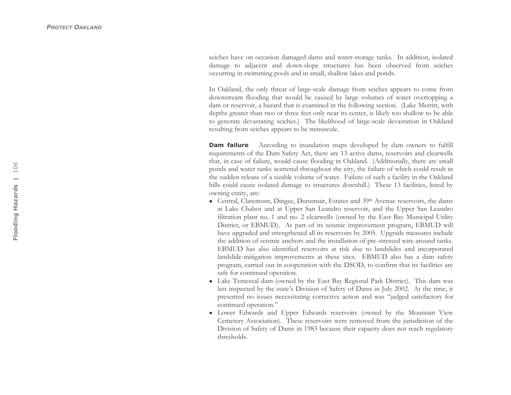seiches have on occasion damaged dams and water-storage tanks. In addition, isolated damage to adjacent and down-slope structures has been observed from seiches occurring in swimming pools and in small, shallow lakes and ponds.

In Oakland, the only threat of large-scale damage from seiches appears to come from downstream flooding that would be caused by large volumes of water overtopping a dam or reservoir, a hazard that is examined in the following section. (Lake Merritt, with depths greater than two or three feet only near its center, is likely too shallow to be able to generate devastating seiches.) The likelihood of large-scale devastation in Oakland resulting from seiches appears to be minuscule.

**Dam failure** According to inundation maps developed by dam owners to fulfill requirements of the Dam Safety Act, there are 13 active dams, reservoirs and clearwells that, in case of failure, would cause flooding in Oakland. (Additionally, there are small ponds and water tanks scattered throughout the city, the failure of which could result in the sudden release of a sizable volume of water. Failure of such a facility in the Oakland hills could cause isolated damage to structures downhill.) These 13 facilities, listed by owning entity, are:

- Central, Claremont, Dingee, Dunsmuir, Estates and 39<sup>th</sup> Avenue reservoirs, the dams at Lake Chabot and at Upper San Leandro reservoir, and the Upper San Leandro filtration plant no. 1 and no. 2 clearwells (owned by the East Bay Municipal Utility District, or EBMUD). As part of its seismic improvement program, EBMUD will have upgraded and strengthened all its reservoirs by 2005. Upgrade measures include the addition of seismic anchors and the installation of pre-stressed wire around tanks. EBMUD has also identified reservoirs at risk due to landslides and incorporated landslide-mitigation improvements at these sites. EBMUD also has a dam safety program, carried out in cooperation with the DSOD, to confirm that its facilities are safe for continued operation.
- Lake Temescal dam (owned by the East Bay Regional Park District). This dam was last inspected by the state's Division of Safety of Dams in July 2002. At the time, it presented no issues necessitating corrective action and was "judged satisfactory for continued operation."
- Lower Edwards and Upper Edwards reservoirs (owned by the Mountain View Cemetery Association). These reservoirs were removed from the jurisdiction of the Division of Safety of Dams in 1983 because their capacity does not reach regulatory thresholds.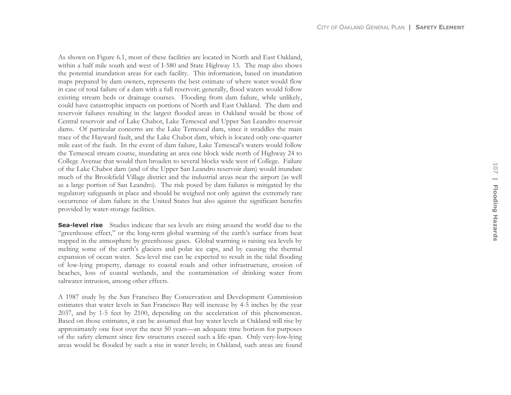As shown on Figure 6.1, most of these facilities are located in North and East Oakland, within a half mile south and west of I-580 and State Highway 13. The map also shows the potential inundation areas for each facility. This information, based on inundation maps prepared by dam owners, represents the best estimate of where water would flow in case of total failure of a dam with a full reservoir; generally, flood waters would follow existing stream beds or drainage courses. Flooding from dam failure, while unlikely, could have catastrophic impacts on portions of North and East Oakland. The dam and reservoir failures resulting in the largest flooded areas in Oakland would be those of Central reservoir and of Lake Chabot, Lake Temescal and Upper San Leandro reservoir dams. Of particular concerns are the Lake Temescal dam, since it straddles the main trace of the Hayward fault, and the Lake Chabot dam, which is located only one-quarter mile east of the fault. In the event of dam failure, Lake Temescal's waters would follow the Temescal stream course, inundating an area one block wide north of Highway 24 to College Avenue that would then broaden to several blocks wide west of College. Failure of the Lake Chabot dam (and of the Upper San Leandro reservoir dam) would inundate much of the Brookfield Village district and the industrial areas near the airport (as well as a large portion of San Leandro). The risk posed by dam failures is mitigated by the regulatory safeguards in place and should be weighed not only against the extremely rare occurrence of dam failure in the United States but also against the significant benefits provided by water-storage facilities.

**Sea-level rise** Studies indicate that sea levels are rising around the world due to the "greenhouse effect," or the long-term global warming of the earth's surface from heat trapped in the atmosphere by greenhouse gases. Global warming is raising sea levels by melting some of the earth's glaciers and polar ice caps, and by causing the thermal expansion of ocean water. Sea-level rise can be expected to result in the tidal flooding of low-lying property, damage to coastal roads and other infrastructure, erosion of beaches, loss of coastal wetlands, and the contamination of drinking water from saltwater intrusion, among other effects.

A 1987 study by the San Francisco Bay Conservation and Development Commission estimates that water levels in San Francisco Bay will increase by 4-5 inches by the year 2037, and by 1-5 feet by 2100, depending on the acceleration of this phenomenon. Based on those estimates, it can be assumed that bay water levels at Oakland will rise by approximately one foot over the next 50 years—an adequate time horizon for purposes of the safety element since few structures exceed such a life-span. Only very-low-lying areas would be flooded by such a rise in water levels; in Oakland, such areas are found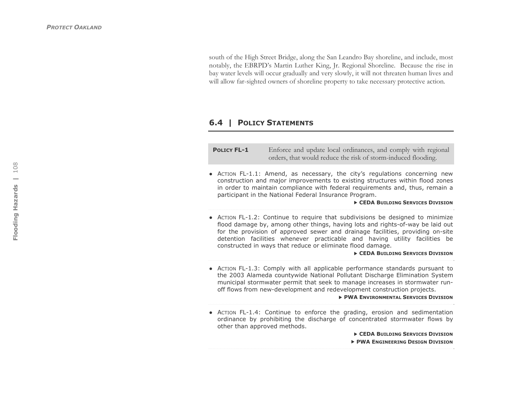south of the High Street Bridge, along the San Leandro Bay shoreline, and include, most notably, the EBRPD's Martin Luther King, Jr. Regional Shoreline. Because the rise in bay water levels will occur gradually and very slowly, it will not threaten human lives and will allow far-sighted owners of shoreline property to take necessary protective action.

# **6.4 | POLICY STATEMENTS**

| <b>POLICY FL-1</b> | Enforce and update local ordinances, and comply with regional |
|--------------------|---------------------------------------------------------------|
|                    | orders, that would reduce the risk of storm-induced flooding. |

● ACTION FL-1.1: Amend, as necessary, the city's regulations concerning new construction and major improvements to existing structures within flood zones in order to maintain compliance with federal requirements and, thus, remain a participant in the National Federal Insurance Program.

**F CEDA BUILDING SERVICES DIVISION** 

● ACTION FL-1.2: Continue to require that subdivisions be designed to minimize flood damage by, among other things, having lots and rights-of-way be laid out for the provision of approved sewer and drainage facilities, providing on-site detention facilities whenever practicable and having utility facilities be constructed in ways that reduce or eliminate flood damage.

**F CEDA BUILDING SERVICES DIVISION** 

● ACTION FL-1.3: Comply with all applicable performance standards pursuant to the 2003 Alameda countywide National Pollutant Discharge Elimination System municipal stormwater permit that seek to manage increases in stormwater runoff flows from new-development and redevelopment construction projects.

**FWA ENVIRONMENTAL SERVICES DIVISION** 

● ACTION FL-1.4: Continue to enforce the grading, erosion and sedimentation ordinance by prohibiting the discharge of concentrated stormwater flows by other than approved methods.

**F CEDA BUILDING SERVICES DIVISION FWA ENGINEERING DESIGN DIVISION**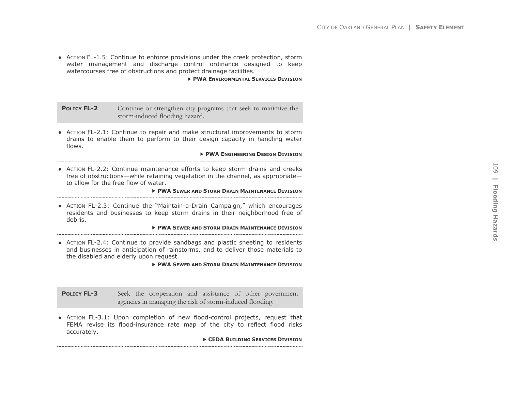● ACTION FL-1.5: Continue to enforce provisions under the creek protection, storm water management and discharge control ordinance designed to keep watercourses free of obstructions and protect drainage facilities.

#### **PWA ENVIRONMENTAL SERVICES DIVISION**

**POLICY FL-2** Continue or strengthen city programs that seek to minimize the storm-induced flooding hazard.

● ACTION FL-2.1: Continue to repair and make structural improvements to storm drains to enable them to perform to their design capacity in handling water flows.

#### **FWA ENGINEERING DESIGN DIVISION**

● ACTION FL-2.2: Continue maintenance efforts to keep storm drains and creeks free of obstructions—while retaining vegetation in the channel, as appropriate to allow for the free flow of water.

#### **FWA SEWER AND STORM DRAIN MAINTENANCE DIVISION**

● ACTION FL-2.3: Continue the "Maintain-a-Drain Campaign," which encourages residents and businesses to keep storm drains in their neighborhood free of debris.

#### **FWA SEWER AND STORM DRAIN MAINTENANCE DIVISION**

● ACTION FL-2.4: Continue to provide sandbags and plastic sheeting to residents and businesses in anticipation of rainstorms, and to deliver those materials to the disabled and elderly upon request.

**FWA SEWER AND STORM DRAIN MAINTENANCE DIVISION** 

**POLICY FL-3** Seek the cooperation and assistance of other government agencies in managing the risk of storm-induced flooding.

● ACTION FL-3.1: Upon completion of new flood-control projects, request that FEMA revise its flood-insurance rate map of the city to reflect flood risks accurately.

**F CEDA BUILDING SERVICES DIVISION**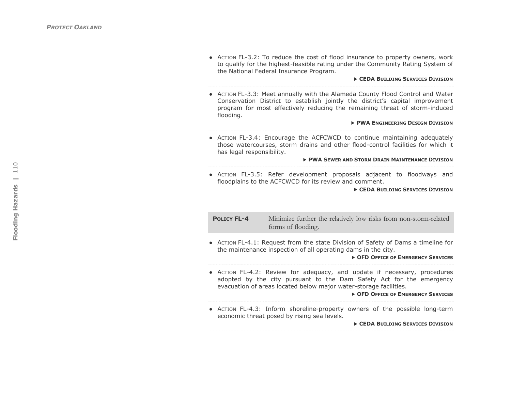● ACTION FL-3.2: To reduce the cost of flood insurance to property owners, work to qualify for the highest-feasible rating under the Community Rating System of the National Federal Insurance Program.

 $\triangleright$  **CEDA BUILDING SERVICES DIVISION** 

● ACTION FL-3.3: Meet annually with the Alameda County Flood Control and Water Conservation District to establish jointly the district's capital improvement program for most effectively reducing the remaining threat of storm-induced flooding.

> $\triangleright$  **PWA ENGINEERING DESIGN DIVISION**

● ACTION FL-3.4: Encourage the ACFCWCD to continue maintaining adequately those watercourses, storm drains and other flood-control facilities for which it has legal responsibility.

f **PWA SEWER AND STORM DRAIN MAINTENANCE DIVISION**

- ● ACTION FL-3.5: Refer development proposals adjacent to floodways and
	- floodplains to the ACFCWCD for its review and comment.

**EXAMPLE CEDA BUILDING SERVICES DIVISION** 

**POLICY FL-4** Minimize further the relatively low risks from non-storm-related forms of flooding.

● ACTION FL-4.1: Request from the state Division of Safety of Dams a timeline for the maintenance inspection of all operating dams in the city.

 $\triangleright$  **OFD OFFICE OF EMERGENCY SERVICES** 

● ACTION FL-4.2: Review for adequacy, and update if necessary, procedures adopted by the city pursuant to the Dam Safety Act for the emergency evacuation of areas located below major water-storage facilities.

 $\triangleright$  **OFD OFFICE OF EMERGENCY SERVICES** 

● ACTION FL-4.3: Inform shoreline-property owners of the possible long-term economic threat posed by rising sea levels.

**EXAMPLE 2** CEDA BUILDING SERVICES DIVISION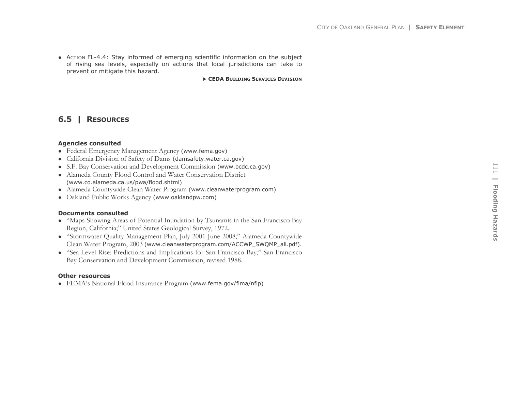● ACTION FL-4.4: Stay informed of emerging scientific information on the subject of rising sea levels, especially on actions that local jurisdictions can take to prevent or mitigate this hazard.

**F CEDA BUILDING SERVICES DIVISION** 

# **6.5 | RESOURCES**

### **Agencies consulted**

- Federal Emergency Management Agency (www.fema.gov)
- California Division of Safety of Dams (damsafety.water.ca.gov)
- S.F. Bay Conservation and Development Commission (www.bcdc.ca.gov)
- Alameda County Flood Control and Water Conservation District (www.co.alameda.ca.us/pwa/flood.shtml)
- Alameda Countywide Clean Water Program (www.cleanwaterprogram.com)
- Oakland Public Works Agency (www.oaklandpw.com)

### **Documents consulted**

- "Maps Showing Areas of Potential Inundation by Tsunamis in the San Francisco Bay Region, California;" United States Geological Survey, 1972.
- "Stormwater Quality Management Plan, July 2001-June 2008;" Alameda Countywide Clean Water Program, 2003 (www.cleanwaterprogram.com/ACCWP\_SWQMP\_all.pdf).
- "Sea Level Rise: Predictions and Implications for San Francisco Bay;" San Francisco Bay Conservation and Development Commission, revised 1988.

### **Other resources**

• FEMA's National Flood Insurance Program (www.fema.gov/fima/nfip)